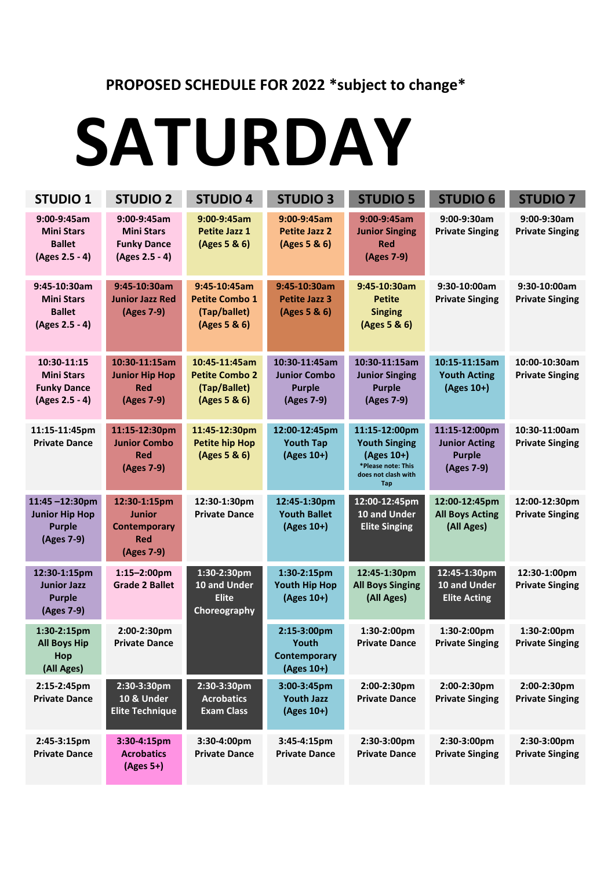#### **PROPOSED SCHEDULE FOR 2022 \*subject to change\***

#### **SATURDAY**

| <b>STUDIO 1</b>                                                          | <b>STUDIO 2</b>                                                                  | <b>STUDIO 4</b>                                                        | <b>STUDIO 3</b>                                                     | <b>STUDIO 5</b>                                                                                                | <b>STUDIO 6</b>                                                      | <b>STUDIO 7</b>                         |
|--------------------------------------------------------------------------|----------------------------------------------------------------------------------|------------------------------------------------------------------------|---------------------------------------------------------------------|----------------------------------------------------------------------------------------------------------------|----------------------------------------------------------------------|-----------------------------------------|
| 9:00-9:45am<br><b>Mini Stars</b><br><b>Ballet</b><br>(Ages 2.5 - 4)      | 9:00-9:45am<br><b>Mini Stars</b><br><b>Funky Dance</b><br>(Ages 2.5 - 4)         | 9:00-9:45am<br><b>Petite Jazz 1</b><br>(Ages 5 & 6)                    | 9:00-9:45am<br><b>Petite Jazz 2</b><br>(Ages 5 & 6)                 | 9:00-9:45am<br><b>Junior Singing</b><br><b>Red</b><br>(Ages 7-9)                                               | 9:00-9:30am<br><b>Private Singing</b>                                | 9:00-9:30am<br><b>Private Singing</b>   |
| 9:45-10:30am<br><b>Mini Stars</b><br><b>Ballet</b><br>(Ages 2.5 - 4)     | 9:45-10:30am<br><b>Junior Jazz Red</b><br>(Ages 7-9)                             | 9:45-10:45am<br><b>Petite Combo 1</b><br>(Tap/ballet)<br>(Ages 5 & 6)  | 9:45-10:30am<br><b>Petite Jazz 3</b><br>(Ages 5 & 6)                | 9:45-10:30am<br><b>Petite</b><br><b>Singing</b><br>(Ages 5 & 6)                                                | 9:30-10:00am<br><b>Private Singing</b>                               | 9:30-10:00am<br><b>Private Singing</b>  |
| 10:30-11:15<br><b>Mini Stars</b><br><b>Funky Dance</b><br>(Ages 2.5 - 4) | 10:30-11:15am<br><b>Junior Hip Hop</b><br><b>Red</b><br>(Ages 7-9)               | 10:45-11:45am<br><b>Petite Combo 2</b><br>(Tap/Ballet)<br>(Ages 5 & 6) | 10:30-11:45am<br><b>Junior Combo</b><br><b>Purple</b><br>(Ages 7-9) | 10:30-11:15am<br><b>Junior Singing</b><br><b>Purple</b><br>(Ages 7-9)                                          | 10:15-11:15am<br><b>Youth Acting</b><br>(Ages 10+)                   | 10:00-10:30am<br><b>Private Singing</b> |
| 11:15-11:45pm<br><b>Private Dance</b>                                    | 11:15-12:30pm<br><b>Junior Combo</b><br><b>Red</b><br>(Ages 7-9)                 | 11:45-12:30pm<br><b>Petite hip Hop</b><br>(Ages 5 & 6)                 | 12:00-12:45pm<br><b>Youth Tap</b><br>(Ages 10+)                     | 11:15-12:00pm<br><b>Youth Singing</b><br>(Ages 10+)<br>*Please note: This<br>does not clash with<br><b>Tap</b> | 11:15-12:00pm<br><b>Junior Acting</b><br><b>Purple</b><br>(Ages 7-9) | 10:30-11:00am<br><b>Private Singing</b> |
| 11:45-12:30pm<br><b>Junior Hip Hop</b><br><b>Purple</b><br>(Ages 7-9)    | 12:30-1:15pm<br><b>Junior</b><br><b>Contemporary</b><br><b>Red</b><br>(Ages 7-9) | 12:30-1:30pm<br><b>Private Dance</b>                                   | 12:45-1:30pm<br><b>Youth Ballet</b><br>(Ages 10+)                   | 12:00-12:45pm<br>10 and Under<br><b>Elite Singing</b>                                                          | 12:00-12:45pm<br><b>All Boys Acting</b><br>(All Ages)                | 12:00-12:30pm<br><b>Private Singing</b> |
| 12:30-1:15pm<br><b>Junior Jazz</b><br><b>Purple</b><br>(Ages 7-9)        | $1:15 - 2:00$ pm<br><b>Grade 2 Ballet</b>                                        | 1:30-2:30pm<br>10 and Under<br><b>Elite</b><br>Choreography            | 1:30-2:15pm<br><b>Youth Hip Hop</b><br>(Ages 10+)                   | 12:45-1:30pm<br><b>All Boys Singing</b><br>(All Ages)                                                          | 12:45-1:30pm<br>10 and Under<br><b>Elite Acting</b>                  | 12:30-1:00pm<br><b>Private Singing</b>  |
| 1:30-2:15pm<br><b>All Boys Hip</b><br>Hop<br>(All Ages)                  | 2:00-2:30pm<br><b>Private Dance</b>                                              |                                                                        | 2:15-3:00pm<br>Youth<br>Contemporary<br>(Ages 10+)                  | 1:30-2:00pm<br><b>Private Dance</b>                                                                            | 1:30-2:00pm<br><b>Private Singing</b>                                | 1:30-2:00pm<br><b>Private Singing</b>   |
| 2:15-2:45pm<br><b>Private Dance</b>                                      | 2:30-3:30pm<br>10 & Under<br><b>Elite Technique</b>                              | 2:30-3:30pm<br><b>Acrobatics</b><br><b>Exam Class</b>                  | 3:00-3:45pm<br><b>Youth Jazz</b><br>(Ages 10+)                      | 2:00-2:30pm<br><b>Private Dance</b>                                                                            | 2:00-2:30pm<br><b>Private Singing</b>                                | 2:00-2:30pm<br><b>Private Singing</b>   |
| 2:45-3:15pm<br><b>Private Dance</b>                                      | 3:30-4:15pm<br><b>Acrobatics</b><br>$(Ages 5+)$                                  | 3:30-4:00pm<br><b>Private Dance</b>                                    | 3:45-4:15pm<br><b>Private Dance</b>                                 | 2:30-3:00pm<br><b>Private Dance</b>                                                                            | 2:30-3:00pm<br><b>Private Singing</b>                                | 2:30-3:00pm<br><b>Private Singing</b>   |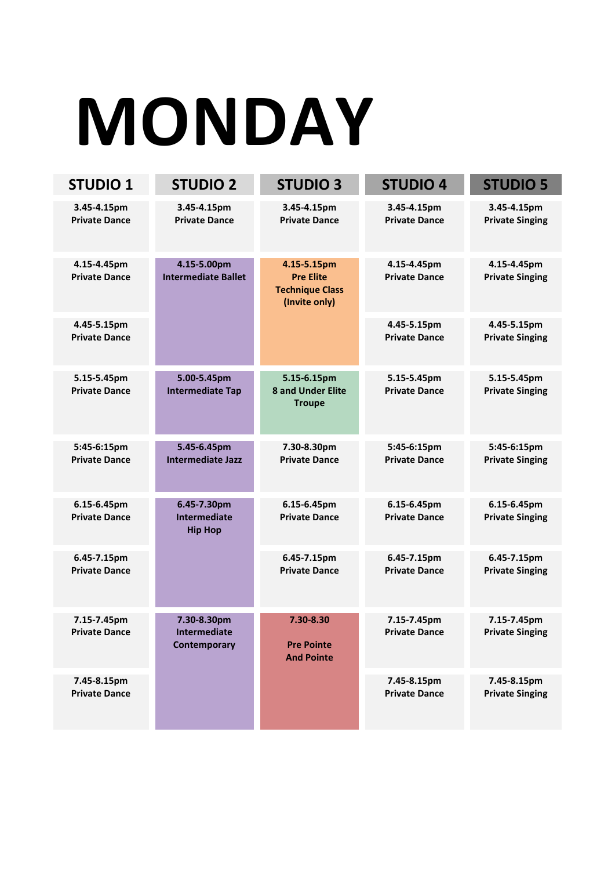# **MONDAY**

| <b>STUDIO 1</b>                     | <b>STUDIO 2</b>                                      | <b>STUDIO 3</b>                                                            | <b>STUDIO 4</b>                     | <b>STUDIO 5</b>                       |
|-------------------------------------|------------------------------------------------------|----------------------------------------------------------------------------|-------------------------------------|---------------------------------------|
| 3.45-4.15pm<br><b>Private Dance</b> | 3.45-4.15pm<br><b>Private Dance</b>                  | 3.45-4.15pm<br><b>Private Dance</b>                                        | 3.45-4.15pm<br><b>Private Dance</b> | 3.45-4.15pm<br><b>Private Singing</b> |
| 4.15-4.45pm<br><b>Private Dance</b> | 4.15-5.00pm<br><b>Intermediate Ballet</b>            | 4.15-5.15pm<br><b>Pre Elite</b><br><b>Technique Class</b><br>(Invite only) | 4.15-4.45pm<br><b>Private Dance</b> | 4.15-4.45pm<br><b>Private Singing</b> |
| 4.45-5.15pm<br><b>Private Dance</b> |                                                      |                                                                            | 4.45-5.15pm<br><b>Private Dance</b> | 4.45-5.15pm<br><b>Private Singing</b> |
| 5.15-5.45pm<br><b>Private Dance</b> | 5.00-5.45pm<br><b>Intermediate Tap</b>               | 5.15-6.15pm<br><b>8 and Under Elite</b><br><b>Troupe</b>                   | 5.15-5.45pm<br><b>Private Dance</b> | 5.15-5.45pm<br><b>Private Singing</b> |
| 5:45-6:15pm<br><b>Private Dance</b> | 5.45-6.45pm<br><b>Intermediate Jazz</b>              | 7.30-8.30pm<br><b>Private Dance</b>                                        | 5:45-6:15pm<br><b>Private Dance</b> | 5:45-6:15pm<br><b>Private Singing</b> |
| 6.15-6.45pm<br><b>Private Dance</b> | 6.45-7.30pm<br><b>Intermediate</b><br><b>Hip Hop</b> | 6.15-6.45pm<br><b>Private Dance</b>                                        | 6.15-6.45pm<br><b>Private Dance</b> | 6.15-6.45pm<br><b>Private Singing</b> |
| 6.45-7.15pm<br><b>Private Dance</b> |                                                      | 6.45-7.15pm<br><b>Private Dance</b>                                        | 6.45-7.15pm<br><b>Private Dance</b> | 6.45-7.15pm<br><b>Private Singing</b> |
| 7.15-7.45pm<br><b>Private Dance</b> | 7.30-8.30pm<br><b>Intermediate</b><br>Contemporary   | 7.30-8.30<br><b>Pre Pointe</b><br><b>And Pointe</b>                        | 7.15-7.45pm<br><b>Private Dance</b> | 7.15-7.45pm<br><b>Private Singing</b> |
| 7.45-8.15pm<br><b>Private Dance</b> |                                                      |                                                                            | 7.45-8.15pm<br><b>Private Dance</b> | 7.45-8.15pm<br><b>Private Singing</b> |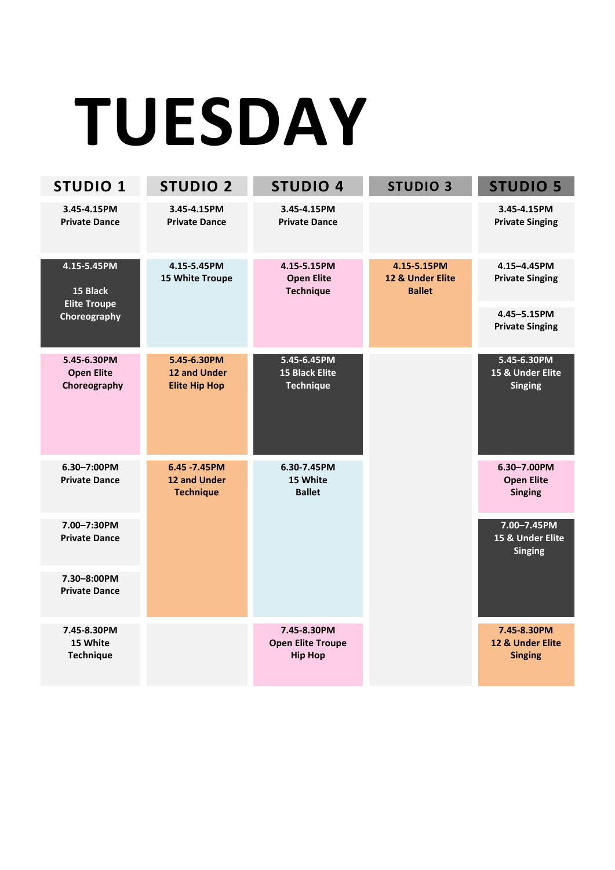# **TUESDAY**

| <b>STUDIO 1</b>                                  | <b>STUDIO 2</b>                                            | <b>STUDIO 4</b>                                           | <b>STUDIO 3</b>                                  | <b>STUDIO 5</b>                                    |
|--------------------------------------------------|------------------------------------------------------------|-----------------------------------------------------------|--------------------------------------------------|----------------------------------------------------|
| 3.45-4.15PM<br><b>Private Dance</b>              | 3.45-4.15PM<br><b>Private Dance</b>                        | 3.45-4.15PM<br><b>Private Dance</b>                       |                                                  | 3.45-4.15PM<br><b>Private Singing</b>              |
| 4.15-5.45PM<br>15 Black<br><b>Elite Troupe</b>   | 4.15-5.45PM<br>15 White Troupe                             | 4.15-5.15PM<br><b>Open Elite</b><br><b>Technique</b>      | 4.15-5.15PM<br>12 & Under Elite<br><b>Ballet</b> | 4.15-4.45PM<br><b>Private Singing</b>              |
| Choreography                                     |                                                            |                                                           |                                                  | 4.45-5.15PM<br><b>Private Singing</b>              |
| 5.45-6.30PM<br><b>Open Elite</b><br>Choreography | 5.45-6.30PM<br><b>12 and Under</b><br><b>Elite Hip Hop</b> | 5.45-6.45PM<br><b>15 Black Elite</b><br><b>Technique</b>  |                                                  | 5.45-6.30PM<br>15 & Under Elite<br><b>Singing</b>  |
| 6.30-7:00PM<br><b>Private Dance</b>              | 6.45 - 7.45 PM<br>12 and Under<br><b>Technique</b>         | 6.30-7.45PM<br>15 White<br><b>Ballet</b>                  |                                                  | 6.30-7.00PM<br><b>Open Elite</b><br><b>Singing</b> |
| 7.00-7:30PM<br><b>Private Dance</b>              |                                                            |                                                           |                                                  | 7.00-7.45PM<br>15 & Under Elite<br><b>Singing</b>  |
| 7.30-8:00PM<br><b>Private Dance</b>              |                                                            |                                                           |                                                  |                                                    |
| 7.45-8.30PM<br>15 White<br><b>Technique</b>      |                                                            | 7.45-8.30PM<br><b>Open Elite Troupe</b><br><b>Hip Hop</b> |                                                  | 7.45-8.30PM<br>12 & Under Elite<br><b>Singing</b>  |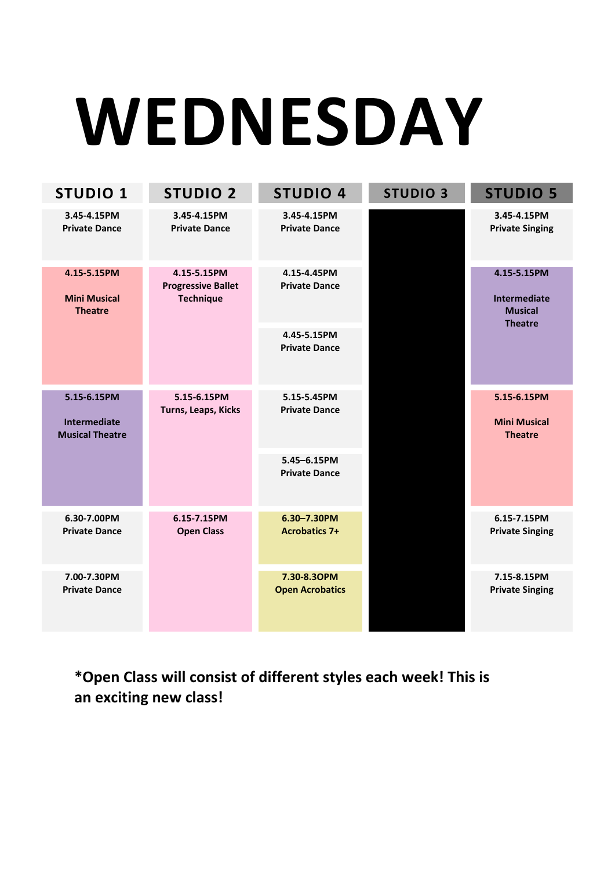# **WEDNESDAY**

| <b>STUDIO 1</b>                                              | <b>STUDIO 2</b>                                              | <b>STUDIO 4</b>                     | <b>STUDIO 3</b> | <b>STUDIO 5</b>                                                        |
|--------------------------------------------------------------|--------------------------------------------------------------|-------------------------------------|-----------------|------------------------------------------------------------------------|
| 3.45-4.15PM<br><b>Private Dance</b>                          | 3.45-4.15PM<br><b>Private Dance</b>                          | 3.45-4.15PM<br><b>Private Dance</b> |                 | 3.45-4.15PM<br><b>Private Singing</b>                                  |
| 4.15-5.15PM<br><b>Mini Musical</b><br><b>Theatre</b>         | 4.15-5.15PM<br><b>Progressive Ballet</b><br><b>Technique</b> | 4.15-4.45PM<br><b>Private Dance</b> |                 | 4.15-5.15PM<br><b>Intermediate</b><br><b>Musical</b><br><b>Theatre</b> |
|                                                              |                                                              | 4.45-5.15PM<br><b>Private Dance</b> |                 |                                                                        |
| 5.15-6.15PM<br><b>Intermediate</b><br><b>Musical Theatre</b> | 5.15-6.15PM<br>Turns, Leaps, Kicks                           | 5.15-5.45PM<br><b>Private Dance</b> |                 | 5.15-6.15PM<br><b>Mini Musical</b><br><b>Theatre</b>                   |
|                                                              |                                                              | 5.45-6.15PM<br><b>Private Dance</b> |                 |                                                                        |
| 6.30-7.00PM<br><b>Private Dance</b>                          | 6.15-7.15PM<br><b>Open Class</b>                             | 6.30-7.30PM<br><b>Acrobatics 7+</b> |                 | 6.15-7.15PM<br><b>Private Singing</b>                                  |
| 7.00-7.30PM<br><b>Private Dance</b>                          |                                                              |                                     |                 | 7.15-8.15PM<br><b>Private Singing</b>                                  |

**\*Open Class will consist of different styles each week! This is an exciting new class!**